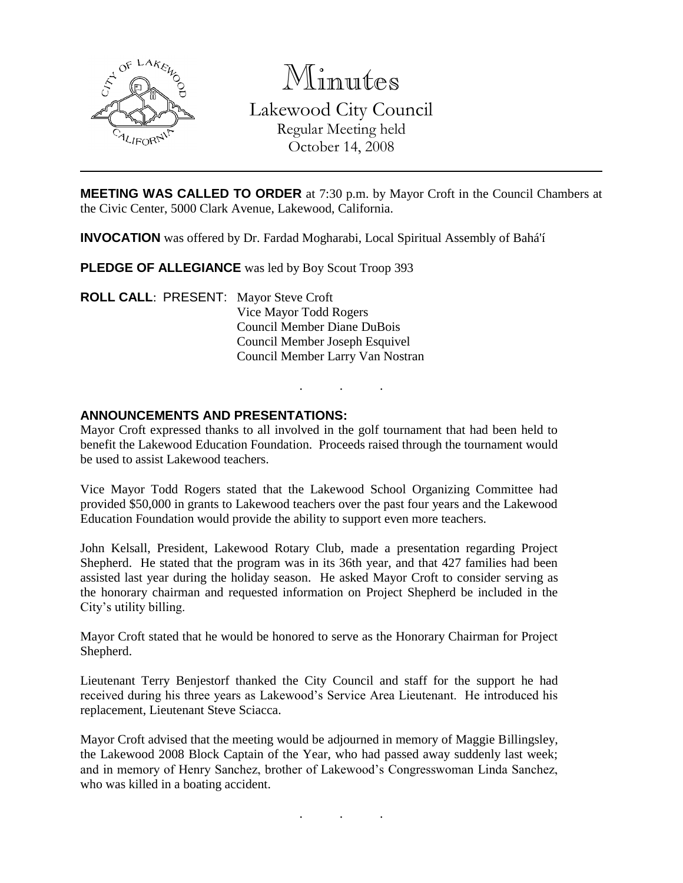

Minutes Lakewood City Council Regular Meeting held October 14, 2008

**MEETING WAS CALLED TO ORDER** at 7:30 p.m. by Mayor Croft in the Council Chambers at the Civic Center, 5000 Clark Avenue, Lakewood, California.

**INVOCATION** was offered by Dr. Fardad Mogharabi, Local Spiritual Assembly of Bahá'í

**PLEDGE OF ALLEGIANCE** was led by Boy Scout Troop 393

**ROLL CALL**: PRESENT: Mayor Steve Croft Vice Mayor Todd Rogers Council Member Diane DuBois Council Member Joseph Esquivel Council Member Larry Van Nostran

#### **ANNOUNCEMENTS AND PRESENTATIONS:**

Mayor Croft expressed thanks to all involved in the golf tournament that had been held to benefit the Lakewood Education Foundation. Proceeds raised through the tournament would be used to assist Lakewood teachers.

. . .

Vice Mayor Todd Rogers stated that the Lakewood School Organizing Committee had provided \$50,000 in grants to Lakewood teachers over the past four years and the Lakewood Education Foundation would provide the ability to support even more teachers.

John Kelsall, President, Lakewood Rotary Club, made a presentation regarding Project Shepherd. He stated that the program was in its 36th year, and that 427 families had been assisted last year during the holiday season. He asked Mayor Croft to consider serving as the honorary chairman and requested information on Project Shepherd be included in the City's utility billing.

Mayor Croft stated that he would be honored to serve as the Honorary Chairman for Project Shepherd.

Lieutenant Terry Benjestorf thanked the City Council and staff for the support he had received during his three years as Lakewood's Service Area Lieutenant. He introduced his replacement, Lieutenant Steve Sciacca.

Mayor Croft advised that the meeting would be adjourned in memory of Maggie Billingsley, the Lakewood 2008 Block Captain of the Year, who had passed away suddenly last week; and in memory of Henry Sanchez, brother of Lakewood's Congresswoman Linda Sanchez, who was killed in a boating accident.

. . .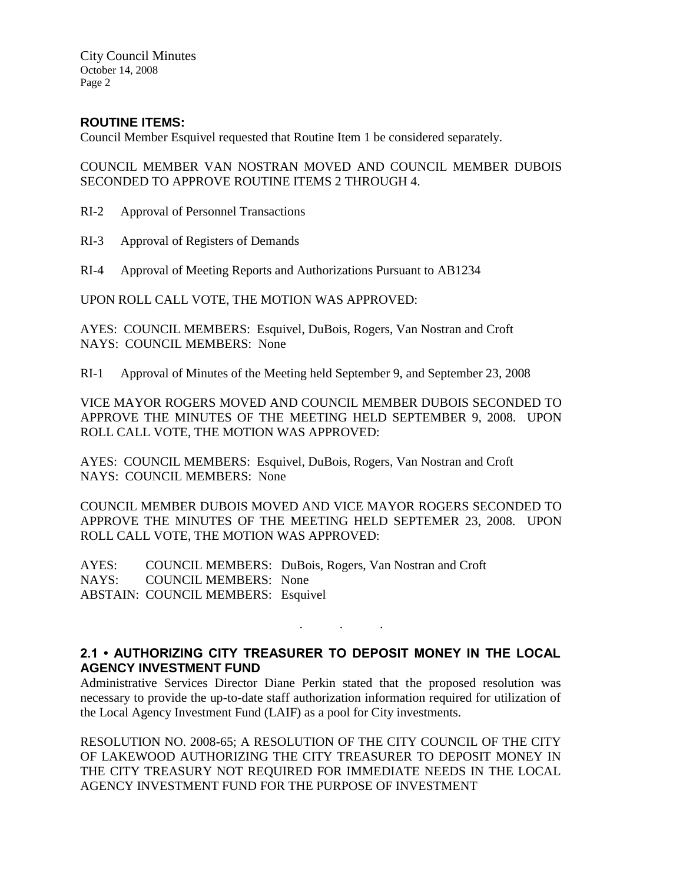City Council Minutes October 14, 2008 Page 2

### **ROUTINE ITEMS:**

Council Member Esquivel requested that Routine Item 1 be considered separately.

COUNCIL MEMBER VAN NOSTRAN MOVED AND COUNCIL MEMBER DUBOIS SECONDED TO APPROVE ROUTINE ITEMS 2 THROUGH 4.

- RI-2 Approval of Personnel Transactions
- RI-3 Approval of Registers of Demands
- RI-4 Approval of Meeting Reports and Authorizations Pursuant to AB1234

UPON ROLL CALL VOTE, THE MOTION WAS APPROVED:

AYES: COUNCIL MEMBERS: Esquivel, DuBois, Rogers, Van Nostran and Croft NAYS: COUNCIL MEMBERS: None

RI-1 Approval of Minutes of the Meeting held September 9, and September 23, 2008

VICE MAYOR ROGERS MOVED AND COUNCIL MEMBER DUBOIS SECONDED TO APPROVE THE MINUTES OF THE MEETING HELD SEPTEMBER 9, 2008. UPON ROLL CALL VOTE, THE MOTION WAS APPROVED:

AYES: COUNCIL MEMBERS: Esquivel, DuBois, Rogers, Van Nostran and Croft NAYS: COUNCIL MEMBERS: None

COUNCIL MEMBER DUBOIS MOVED AND VICE MAYOR ROGERS SECONDED TO APPROVE THE MINUTES OF THE MEETING HELD SEPTEMER 23, 2008. UPON ROLL CALL VOTE, THE MOTION WAS APPROVED:

AYES: COUNCIL MEMBERS: DuBois, Rogers, Van Nostran and Croft NAYS: COUNCIL MEMBERS: None ABSTAIN: COUNCIL MEMBERS: Esquivel

# **2.1 • AUTHORIZING CITY TREASURER TO DEPOSIT MONEY IN THE LOCAL AGENCY INVESTMENT FUND**

. . .

Administrative Services Director Diane Perkin stated that the proposed resolution was necessary to provide the up-to-date staff authorization information required for utilization of the Local Agency Investment Fund (LAIF) as a pool for City investments.

RESOLUTION NO. 2008-65; A RESOLUTION OF THE CITY COUNCIL OF THE CITY OF LAKEWOOD AUTHORIZING THE CITY TREASURER TO DEPOSIT MONEY IN THE CITY TREASURY NOT REQUIRED FOR IMMEDIATE NEEDS IN THE LOCAL AGENCY INVESTMENT FUND FOR THE PURPOSE OF INVESTMENT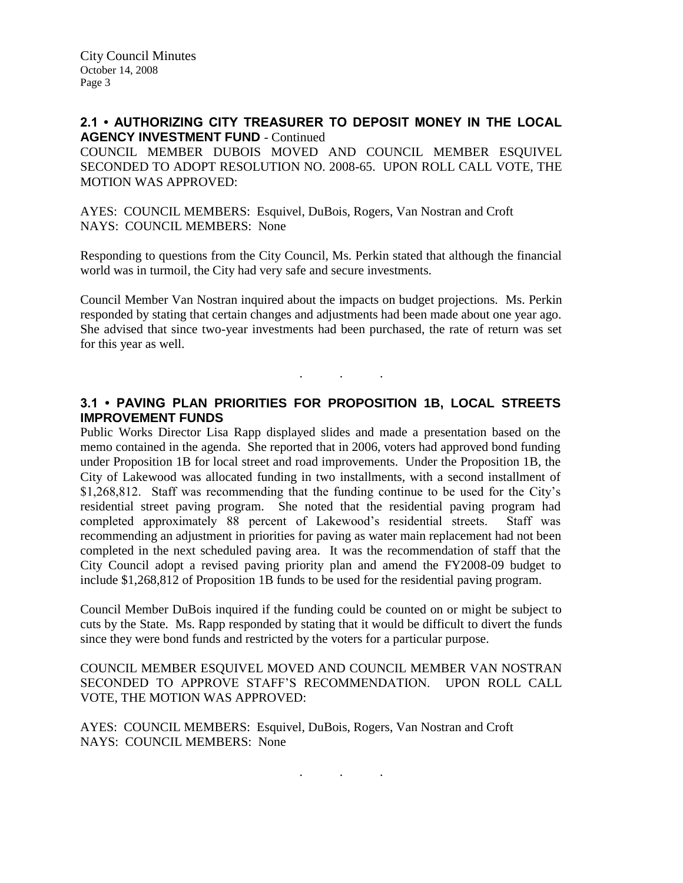### **2.1 • AUTHORIZING CITY TREASURER TO DEPOSIT MONEY IN THE LOCAL AGENCY INVESTMENT FUND** - Continued

COUNCIL MEMBER DUBOIS MOVED AND COUNCIL MEMBER ESQUIVEL SECONDED TO ADOPT RESOLUTION NO. 2008-65. UPON ROLL CALL VOTE, THE MOTION WAS APPROVED:

AYES: COUNCIL MEMBERS: Esquivel, DuBois, Rogers, Van Nostran and Croft NAYS: COUNCIL MEMBERS: None

Responding to questions from the City Council, Ms. Perkin stated that although the financial world was in turmoil, the City had very safe and secure investments.

Council Member Van Nostran inquired about the impacts on budget projections. Ms. Perkin responded by stating that certain changes and adjustments had been made about one year ago. She advised that since two-year investments had been purchased, the rate of return was set for this year as well.

### **3.1 • PAVING PLAN PRIORITIES FOR PROPOSITION 1B, LOCAL STREETS IMPROVEMENT FUNDS**

. . .

Public Works Director Lisa Rapp displayed slides and made a presentation based on the memo contained in the agenda. She reported that in 2006, voters had approved bond funding under Proposition 1B for local street and road improvements. Under the Proposition 1B, the City of Lakewood was allocated funding in two installments, with a second installment of \$1,268,812. Staff was recommending that the funding continue to be used for the City's residential street paving program. She noted that the residential paving program had completed approximately 88 percent of Lakewood's residential streets. Staff was recommending an adjustment in priorities for paving as water main replacement had not been completed in the next scheduled paving area. It was the recommendation of staff that the City Council adopt a revised paving priority plan and amend the FY2008-09 budget to include \$1,268,812 of Proposition 1B funds to be used for the residential paving program.

Council Member DuBois inquired if the funding could be counted on or might be subject to cuts by the State. Ms. Rapp responded by stating that it would be difficult to divert the funds since they were bond funds and restricted by the voters for a particular purpose.

COUNCIL MEMBER ESQUIVEL MOVED AND COUNCIL MEMBER VAN NOSTRAN SECONDED TO APPROVE STAFF'S RECOMMENDATION. UPON ROLL CALL VOTE, THE MOTION WAS APPROVED:

. . .

AYES: COUNCIL MEMBERS: Esquivel, DuBois, Rogers, Van Nostran and Croft NAYS: COUNCIL MEMBERS: None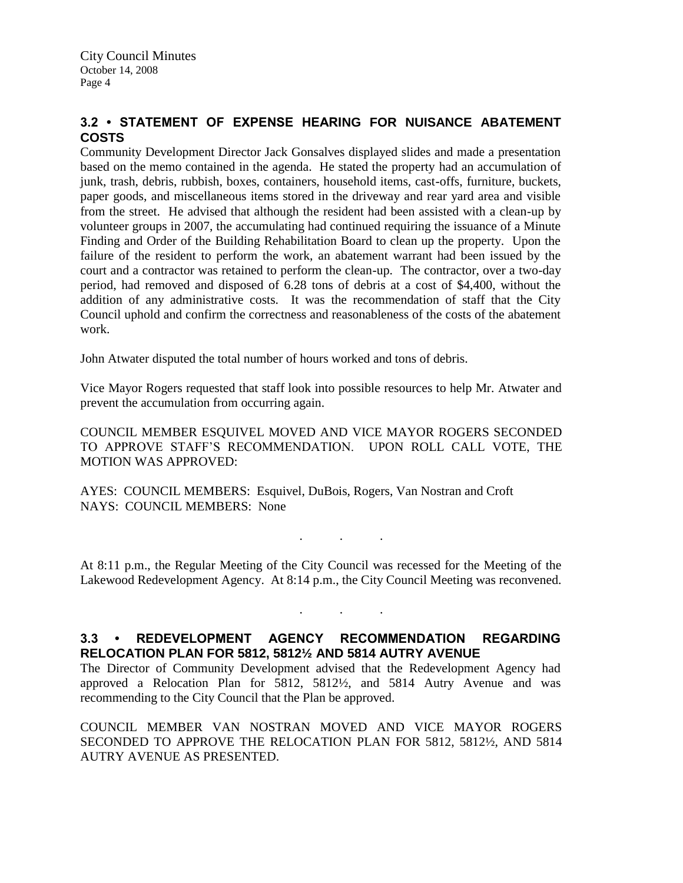# **3.2 • STATEMENT OF EXPENSE HEARING FOR NUISANCE ABATEMENT COSTS**

Community Development Director Jack Gonsalves displayed slides and made a presentation based on the memo contained in the agenda. He stated the property had an accumulation of junk, trash, debris, rubbish, boxes, containers, household items, cast-offs, furniture, buckets, paper goods, and miscellaneous items stored in the driveway and rear yard area and visible from the street. He advised that although the resident had been assisted with a clean-up by volunteer groups in 2007, the accumulating had continued requiring the issuance of a Minute Finding and Order of the Building Rehabilitation Board to clean up the property. Upon the failure of the resident to perform the work, an abatement warrant had been issued by the court and a contractor was retained to perform the clean-up. The contractor, over a two-day period, had removed and disposed of 6.28 tons of debris at a cost of \$4,400, without the addition of any administrative costs. It was the recommendation of staff that the City Council uphold and confirm the correctness and reasonableness of the costs of the abatement work.

John Atwater disputed the total number of hours worked and tons of debris.

Vice Mayor Rogers requested that staff look into possible resources to help Mr. Atwater and prevent the accumulation from occurring again.

COUNCIL MEMBER ESQUIVEL MOVED AND VICE MAYOR ROGERS SECONDED TO APPROVE STAFF'S RECOMMENDATION. UPON ROLL CALL VOTE, THE MOTION WAS APPROVED:

AYES: COUNCIL MEMBERS: Esquivel, DuBois, Rogers, Van Nostran and Croft NAYS: COUNCIL MEMBERS: None

At 8:11 p.m., the Regular Meeting of the City Council was recessed for the Meeting of the Lakewood Redevelopment Agency. At 8:14 p.m., the City Council Meeting was reconvened.

. . .

. . .

# **3.3 • REDEVELOPMENT AGENCY RECOMMENDATION REGARDING RELOCATION PLAN FOR 5812, 5812½ AND 5814 AUTRY AVENUE**

The Director of Community Development advised that the Redevelopment Agency had approved a Relocation Plan for 5812, 5812½, and 5814 Autry Avenue and was recommending to the City Council that the Plan be approved.

COUNCIL MEMBER VAN NOSTRAN MOVED AND VICE MAYOR ROGERS SECONDED TO APPROVE THE RELOCATION PLAN FOR 5812, 5812½, AND 5814 AUTRY AVENUE AS PRESENTED.